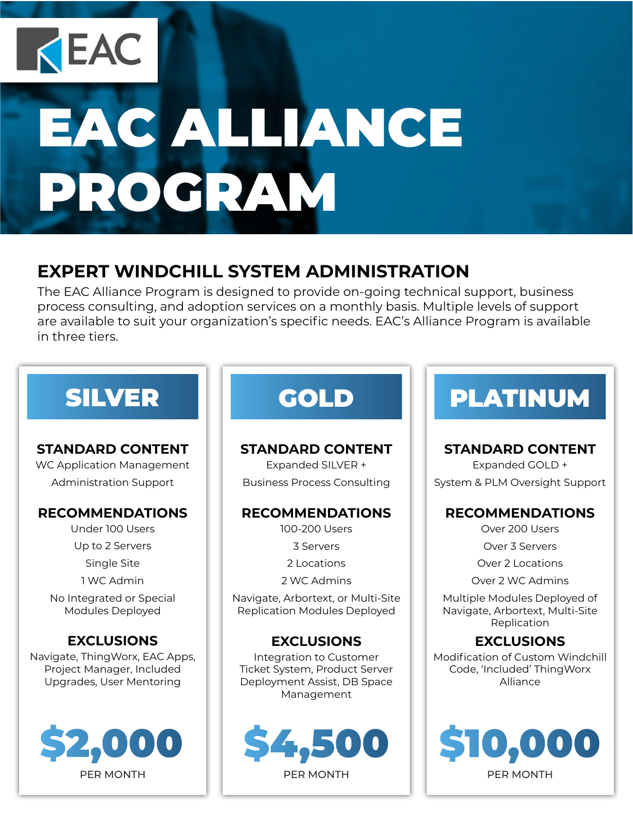

# EAC ALLIANCE PROGRAM

## **EXPERT WINDCHILL SYSTEM ADMINISTRATION**

The EAC Alliance Program is designed to provide on-going technical support, business process consulting, and adoption services on a monthly basis. Multiple levels of support are available to suit your organization's specific needs. EAC's Alliance Program is available in three tiers.

# SILVER

#### **STANDARD CONTENT**

WC Application Management Administration Support

#### **RECOMMENDATIONS**

Under 100 Users Up to 2 Servers Single Site 1 WC Admin

No Integrated or Special Modules Deployed

#### **EXCLUSIONS**

Navigate, ThingWorx, EAC Apps, Project Manager, Included Upgrades, User Mentoring



## **GOLD**

#### **STANDARD CONTENT**

Expanded SILVER + Business Process Consulting

#### **RECOMMENDATIONS**

100-200 Users

3 Servers

2 Locations

2 WC Admins

Navigate, Arbortext, or Multi-Site Replication Modules Deployed

#### **EXCLUSIONS**

Integration to Customer Ticket System, Product Server Deployment Assist, DB Space Management



## PLATINUM

#### **STANDARD CONTENT**

Expanded GOLD + System & PLM Oversight Support

#### **RECOMMENDATIONS**

Over 200 Users Over 3 Servers

Over 2 Locations

Over 2 WC Admins

Multiple Modules Deployed of Navigate, Arbortext, Multi-Site Replication

#### **EXCLUSIONS**

Modification of Custom Windchill Code, 'Included' ThingWorx Alliance

\$10,000 PER MONTH